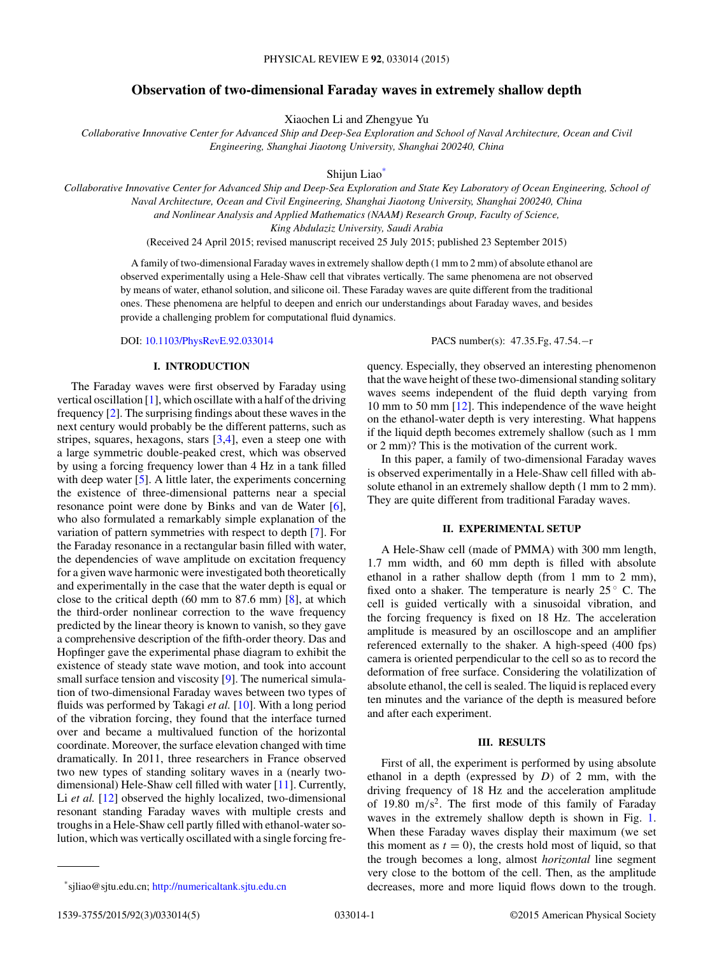# **Observation of two-dimensional Faraday waves in extremely shallow depth**

Xiaochen Li and Zhengyue Yu

*Collaborative Innovative Center for Advanced Ship and Deep-Sea Exploration and School of Naval Architecture, Ocean and Civil Engineering, Shanghai Jiaotong University, Shanghai 200240, China*

Shijun Liao\*

*Collaborative Innovative Center for Advanced Ship and Deep-Sea Exploration and State Key Laboratory of Ocean Engineering, School of Naval Architecture, Ocean and Civil Engineering, Shanghai Jiaotong University, Shanghai 200240, China*

*and Nonlinear Analysis and Applied Mathematics (NAAM) Research Group, Faculty of Science,*

*King Abdulaziz University, Saudi Arabia*

(Received 24 April 2015; revised manuscript received 25 July 2015; published 23 September 2015)

A family of two-dimensional Faraday waves in extremely shallow depth (1 mm to 2 mm) of absolute ethanol are observed experimentally using a Hele-Shaw cell that vibrates vertically. The same phenomena are not observed by means of water, ethanol solution, and silicone oil. These Faraday waves are quite different from the traditional ones. These phenomena are helpful to deepen and enrich our understandings about Faraday waves, and besides provide a challenging problem for computational fluid dynamics.

## **I. INTRODUCTION**

The Faraday waves were first observed by Faraday using vertical oscillation [\[1\]](#page-4-0), which oscillate with a half of the driving frequency [\[2\]](#page-4-0). The surprising findings about these waves in the next century would probably be the different patterns, such as stripes, squares, hexagons, stars  $[3,4]$ , even a steep one with a large symmetric double-peaked crest, which was observed by using a forcing frequency lower than 4 Hz in a tank filled with deep water [\[5\]](#page-4-0). A little later, the experiments concerning the existence of three-dimensional patterns near a special resonance point were done by Binks and van de Water [\[6\]](#page-4-0), who also formulated a remarkably simple explanation of the variation of pattern symmetries with respect to depth [\[7\]](#page-4-0). For the Faraday resonance in a rectangular basin filled with water, the dependencies of wave amplitude on excitation frequency for a given wave harmonic were investigated both theoretically and experimentally in the case that the water depth is equal or close to the critical depth (60 mm to 87.6 mm) [\[8\]](#page-4-0), at which the third-order nonlinear correction to the wave frequency predicted by the linear theory is known to vanish, so they gave a comprehensive description of the fifth-order theory. Das and Hopfinger gave the experimental phase diagram to exhibit the existence of steady state wave motion, and took into account small surface tension and viscosity [\[9\]](#page-4-0). The numerical simulation of two-dimensional Faraday waves between two types of fluids was performed by Takagi *et al.* [\[10\]](#page-4-0). With a long period of the vibration forcing, they found that the interface turned over and became a multivalued function of the horizontal coordinate. Moreover, the surface elevation changed with time dramatically. In 2011, three researchers in France observed two new types of standing solitary waves in a (nearly twodimensional) Hele-Shaw cell filled with water [\[11\]](#page-4-0). Currently, Li *et al.* [\[12\]](#page-4-0) observed the highly localized, two-dimensional resonant standing Faraday waves with multiple crests and troughs in a Hele-Shaw cell partly filled with ethanol-water solution, which was vertically oscillated with a single forcing fre-

DOI: [10.1103/PhysRevE.92.033014](http://dx.doi.org/10.1103/PhysRevE.92.033014) PACS number(s): 47*.*35*.*Fg*,* 47*.*54*.*−r

quency. Especially, they observed an interesting phenomenon that the wave height of these two-dimensional standing solitary waves seems independent of the fluid depth varying from 10 mm to 50 mm [\[12\]](#page-4-0). This independence of the wave height on the ethanol-water depth is very interesting. What happens if the liquid depth becomes extremely shallow (such as 1 mm or 2 mm)? This is the motivation of the current work.

In this paper, a family of two-dimensional Faraday waves is observed experimentally in a Hele-Shaw cell filled with absolute ethanol in an extremely shallow depth (1 mm to 2 mm). They are quite different from traditional Faraday waves.

#### **II. EXPERIMENTAL SETUP**

A Hele-Shaw cell (made of PMMA) with 300 mm length, 1.7 mm width, and 60 mm depth is filled with absolute ethanol in a rather shallow depth (from 1 mm to 2 mm), fixed onto a shaker. The temperature is nearly  $25^\circ$  C. The cell is guided vertically with a sinusoidal vibration, and the forcing frequency is fixed on 18 Hz. The acceleration amplitude is measured by an oscilloscope and an amplifier referenced externally to the shaker. A high-speed (400 fps) camera is oriented perpendicular to the cell so as to record the deformation of free surface. Considering the volatilization of absolute ethanol, the cell is sealed. The liquid is replaced every ten minutes and the variance of the depth is measured before and after each experiment.

# **III. RESULTS**

First of all, the experiment is performed by using absolute ethanol in a depth (expressed by *D*) of 2 mm, with the driving frequency of 18 Hz and the acceleration amplitude of 19.80 m*/*s2. The first mode of this family of Faraday waves in the extremely shallow depth is shown in Fig. [1.](#page-1-0) When these Faraday waves display their maximum (we set this moment as  $t = 0$ , the crests hold most of liquid, so that the trough becomes a long, almost *horizontal* line segment very close to the bottom of the cell. Then, as the amplitude decreases, more and more liquid flows down to the trough.

<sup>\*</sup>sjliao@sjtu.edu.cn; <http://numericaltank.sjtu.edu.cn>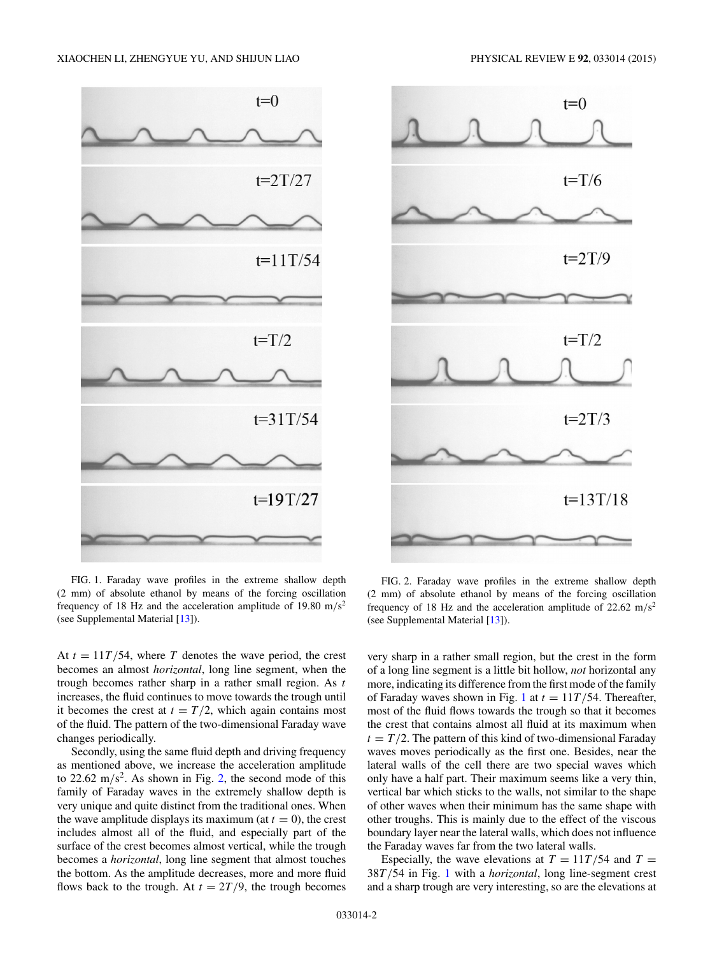<span id="page-1-0"></span>

FIG. 1. Faraday wave profiles in the extreme shallow depth (2 mm) of absolute ethanol by means of the forcing oscillation frequency of 18 Hz and the acceleration amplitude of 19.80 m*/*s2 (see Supplemental Material [\[13\]](#page-4-0)).

At  $t = 11T/54$ , where *T* denotes the wave period, the crest becomes an almost *horizontal*, long line segment, when the trough becomes rather sharp in a rather small region. As *t* increases, the fluid continues to move towards the trough until it becomes the crest at  $t = T/2$ , which again contains most of the fluid. The pattern of the two-dimensional Faraday wave changes periodically.

Secondly, using the same fluid depth and driving frequency as mentioned above, we increase the acceleration amplitude to 22.62 m/s<sup>2</sup>. As shown in Fig. 2, the second mode of this family of Faraday waves in the extremely shallow depth is very unique and quite distinct from the traditional ones. When the wave amplitude displays its maximum (at  $t = 0$ ), the crest includes almost all of the fluid, and especially part of the surface of the crest becomes almost vertical, while the trough becomes a *horizontal*, long line segment that almost touches the bottom. As the amplitude decreases, more and more fluid flows back to the trough. At  $t = 2T/9$ , the trough becomes



FIG. 2. Faraday wave profiles in the extreme shallow depth (2 mm) of absolute ethanol by means of the forcing oscillation frequency of 18 Hz and the acceleration amplitude of 22.62 m*/*s2 (see Supplemental Material [\[13\]](#page-4-0)).

very sharp in a rather small region, but the crest in the form of a long line segment is a little bit hollow, *not* horizontal any more, indicating its difference from the first mode of the family of Faraday waves shown in Fig. 1 at  $t = 11T/54$ . Thereafter, most of the fluid flows towards the trough so that it becomes the crest that contains almost all fluid at its maximum when  $t = T/2$ . The pattern of this kind of two-dimensional Faraday waves moves periodically as the first one. Besides, near the lateral walls of the cell there are two special waves which only have a half part. Their maximum seems like a very thin, vertical bar which sticks to the walls, not similar to the shape of other waves when their minimum has the same shape with other troughs. This is mainly due to the effect of the viscous boundary layer near the lateral walls, which does not influence the Faraday waves far from the two lateral walls.

Especially, the wave elevations at  $T = 11T/54$  and  $T =$ 38*T /*54 in Fig. 1 with a *horizontal*, long line-segment crest and a sharp trough are very interesting, so are the elevations at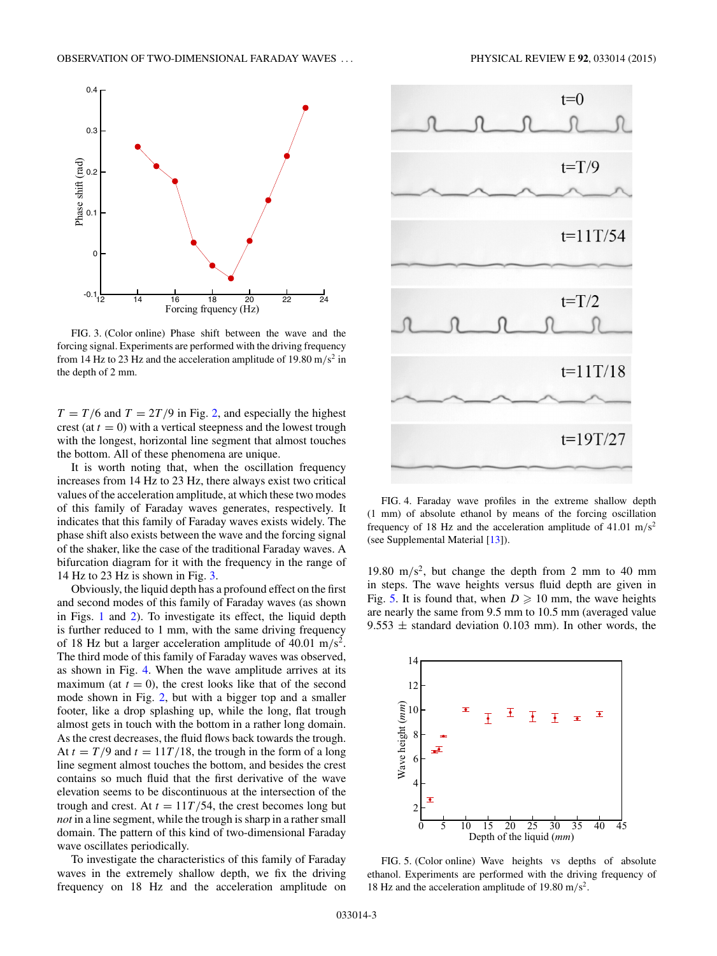<span id="page-2-0"></span>

FIG. 3. (Color online) Phase shift between the wave and the forcing signal. Experiments are performed with the driving frequency from 14 Hz to 23 Hz and the acceleration amplitude of 19.80 m/s<sup>2</sup> in the depth of 2 mm.

 $T = T/6$  and  $T = 2T/9$  in Fig. [2,](#page-1-0) and especially the highest crest (at  $t = 0$ ) with a vertical steepness and the lowest trough with the longest, horizontal line segment that almost touches the bottom. All of these phenomena are unique.

It is worth noting that, when the oscillation frequency increases from 14 Hz to 23 Hz, there always exist two critical values of the acceleration amplitude, at which these two modes of this family of Faraday waves generates, respectively. It indicates that this family of Faraday waves exists widely. The phase shift also exists between the wave and the forcing signal of the shaker, like the case of the traditional Faraday waves. A bifurcation diagram for it with the frequency in the range of 14 Hz to 23 Hz is shown in Fig. 3.

Obviously, the liquid depth has a profound effect on the first and second modes of this family of Faraday waves (as shown in Figs. [1](#page-1-0) and [2\)](#page-1-0). To investigate its effect, the liquid depth is further reduced to 1 mm, with the same driving frequency of 18 Hz but a larger acceleration amplitude of 40.01 m*/*s2. The third mode of this family of Faraday waves was observed, as shown in Fig. 4. When the wave amplitude arrives at its maximum (at  $t = 0$ ), the crest looks like that of the second mode shown in Fig. [2,](#page-1-0) but with a bigger top and a smaller footer, like a drop splashing up, while the long, flat trough almost gets in touch with the bottom in a rather long domain. As the crest decreases, the fluid flows back towards the trough. At  $t = T/9$  and  $t = 11T/18$ , the trough in the form of a long line segment almost touches the bottom, and besides the crest contains so much fluid that the first derivative of the wave elevation seems to be discontinuous at the intersection of the trough and crest. At  $t = 11T/54$ , the crest becomes long but *not* in a line segment, while the trough is sharp in a rather small domain. The pattern of this kind of two-dimensional Faraday wave oscillates periodically.

To investigate the characteristics of this family of Faraday waves in the extremely shallow depth, we fix the driving frequency on 18 Hz and the acceleration amplitude on



FIG. 4. Faraday wave profiles in the extreme shallow depth (1 mm) of absolute ethanol by means of the forcing oscillation frequency of 18 Hz and the acceleration amplitude of 41.01 m*/*s2 (see Supplemental Material [\[13\]](#page-4-0)).

19.80 m*/*s2, but change the depth from 2 mm to 40 mm in steps. The wave heights versus fluid depth are given in Fig. 5. It is found that, when  $D \ge 10$  mm, the wave heights are nearly the same from 9.5 mm to 10.5 mm (averaged value 9.553  $\pm$  standard deviation 0.103 mm). In other words, the



FIG. 5. (Color online) Wave heights vs depths of absolute ethanol. Experiments are performed with the driving frequency of 18 Hz and the acceleration amplitude of 19.80 m*/*s2.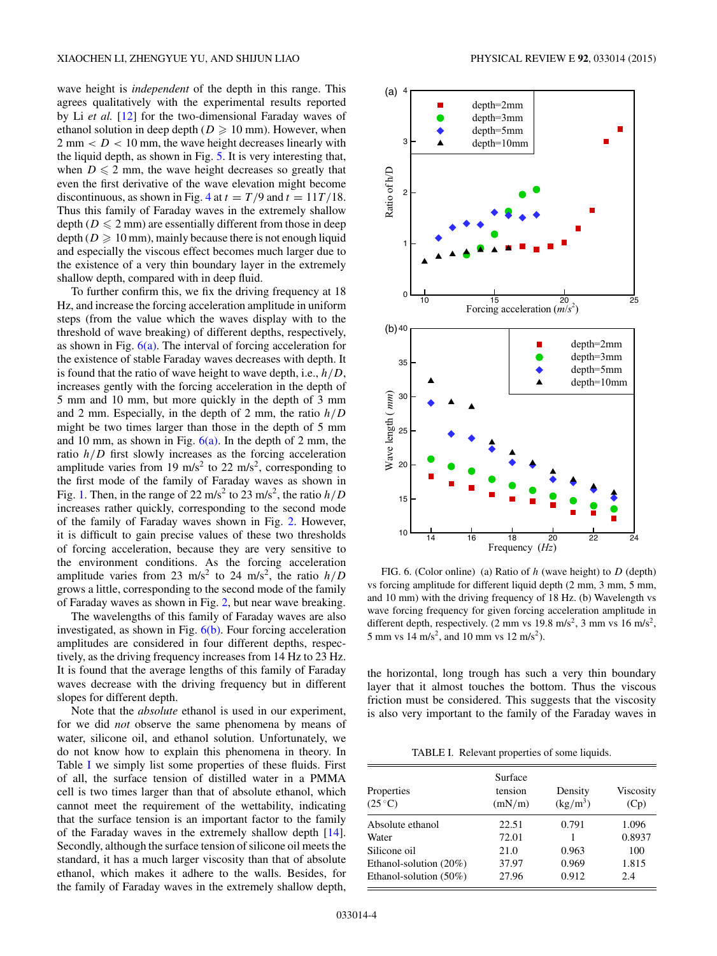wave height is *independent* of the depth in this range. This agrees qualitatively with the experimental results reported by Li *et al.* [\[12\]](#page-4-0) for the two-dimensional Faraday waves of ethanol solution in deep depth ( $D \ge 10$  mm). However, when  $2 \text{ mm} < D < 10 \text{ mm}$ , the wave height decreases linearly with the liquid depth, as shown in Fig. [5.](#page-2-0) It is very interesting that, when  $D \leq 2$  mm, the wave height decreases so greatly that even the first derivative of the wave elevation might become discontinuous, as shown in Fig. [4](#page-2-0) at  $t = T/9$  and  $t = 11T/18$ . Thus this family of Faraday waves in the extremely shallow depth ( $D \le 2$  mm) are essentially different from those in deep  $\text{depth} (D \geqslant 10 \text{ mm})$ , mainly because there is not enough liquid and especially the viscous effect becomes much larger due to the existence of a very thin boundary layer in the extremely shallow depth, compared with in deep fluid.

To further confirm this, we fix the driving frequency at 18 Hz, and increase the forcing acceleration amplitude in uniform steps (from the value which the waves display with to the threshold of wave breaking) of different depths, respectively, as shown in Fig.  $6(a)$ . The interval of forcing acceleration for the existence of stable Faraday waves decreases with depth. It is found that the ratio of wave height to wave depth, i.e., *h/D*, increases gently with the forcing acceleration in the depth of 5 mm and 10 mm, but more quickly in the depth of 3 mm and 2 mm. Especially, in the depth of 2 mm, the ratio *h/D* might be two times larger than those in the depth of 5 mm and 10 mm, as shown in Fig.  $6(a)$ . In the depth of 2 mm, the ratio *h/D* first slowly increases as the forcing acceleration amplitude varies from 19 m/s<sup>2</sup> to 22 m/s<sup>2</sup>, corresponding to the first mode of the family of Faraday waves as shown in Fig. [1.](#page-1-0) Then, in the range of 22 m/s<sup>2</sup> to 23 m/s<sup>2</sup>, the ratio  $h/D$ increases rather quickly, corresponding to the second mode of the family of Faraday waves shown in Fig. [2.](#page-1-0) However, it is difficult to gain precise values of these two thresholds of forcing acceleration, because they are very sensitive to the environment conditions. As the forcing acceleration amplitude varies from 23 m/s<sup>2</sup> to 24 m/s<sup>2</sup>, the ratio  $h/D$ grows a little, corresponding to the second mode of the family of Faraday waves as shown in Fig. [2,](#page-1-0) but near wave breaking.

The wavelengths of this family of Faraday waves are also investigated, as shown in Fig.  $6(b)$ . Four forcing acceleration amplitudes are considered in four different depths, respectively, as the driving frequency increases from 14 Hz to 23 Hz. It is found that the average lengths of this family of Faraday waves decrease with the driving frequency but in different slopes for different depth.

Note that the *absolute* ethanol is used in our experiment, for we did *not* observe the same phenomena by means of water, silicone oil, and ethanol solution. Unfortunately, we do not know how to explain this phenomena in theory. In Table I we simply list some properties of these fluids. First of all, the surface tension of distilled water in a PMMA cell is two times larger than that of absolute ethanol, which cannot meet the requirement of the wettability, indicating that the surface tension is an important factor to the family of the Faraday waves in the extremely shallow depth [\[14\]](#page-4-0). Secondly, although the surface tension of silicone oil meets the standard, it has a much larger viscosity than that of absolute ethanol, which makes it adhere to the walls. Besides, for the family of Faraday waves in the extremely shallow depth,



FIG. 6. (Color online) (a) Ratio of *h* (wave height) to *D* (depth) vs forcing amplitude for different liquid depth (2 mm, 3 mm, 5 mm, and 10 mm) with the driving frequency of 18 Hz. (b) Wavelength vs wave forcing frequency for given forcing acceleration amplitude in different depth, respectively. (2 mm vs 19.8 m/s<sup>2</sup>, 3 mm vs 16 m/s<sup>2</sup>, 5 mm vs 14 m/s<sup>2</sup>, and 10 mm vs 12 m/s<sup>2</sup>).

the horizontal, long trough has such a very thin boundary layer that it almost touches the bottom. Thus the viscous friction must be considered. This suggests that the viscosity is also very important to the family of the Faraday waves in

TABLE I. Relevant properties of some liquids.

| Properties<br>$(25^{\circ}C)$ | Surface<br>tension<br>(mN/m) | Density<br>$(kg/m^3)$ | Viscosity<br>(Cp) |
|-------------------------------|------------------------------|-----------------------|-------------------|
| Absolute ethanol              | 22.51                        | 0.791                 | 1.096             |
| Water                         | 72.01                        |                       | 0.8937            |
| Silicone oil                  | 21.0                         | 0.963                 | 100               |
| Ethanol-solution $(20\%)$     | 37.97                        | 0.969                 | 1.815             |
| Ethanol-solution (50%)        | 27.96                        | 0.912                 | 2.4               |